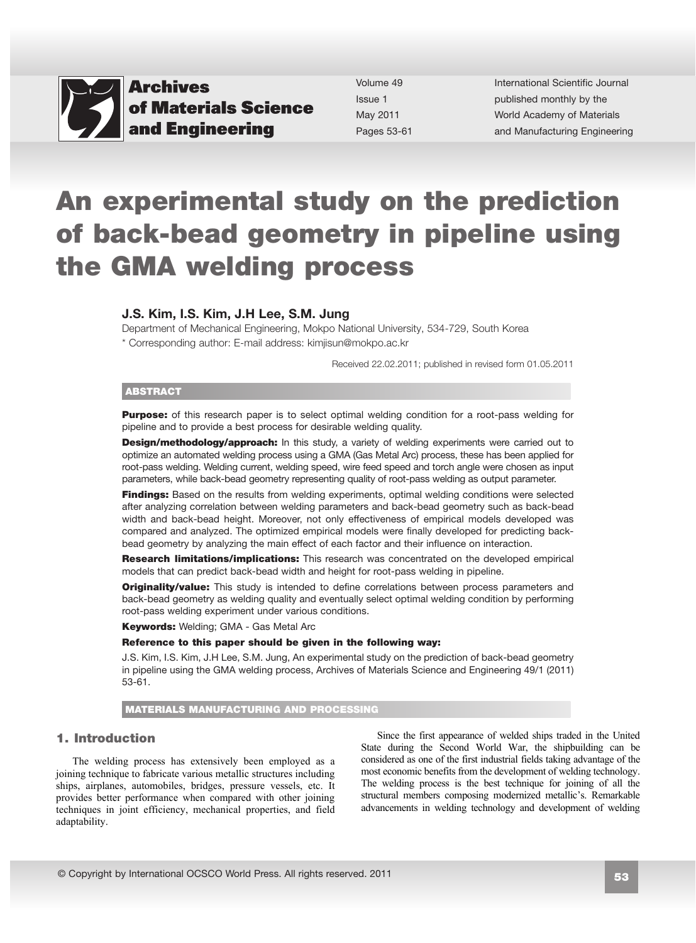

Volume 49 Issue 1 May 2011 Pages 53-61 International Scientific Journal published monthly by the World Academy of Materials [and Manufacturing Engineering](http://www.archivesmse.org) 

# An experimental study on the prediction of back-bead geometry in pipeline using the GMA welding process

### J.S. Kim, I.S. Kim, J.H Lee, S.M. Jung

Department of Mechanical Engineering, Mokpo National University, 534-729, South Korea \* Corresponding author: E-mail address: kimjisun@mokpo.ac.kr

Received 22.02.2011; published in revised form 01.05.2011

#### ABSTRACT

**Purpose:** of this research paper is to select optimal welding condition for a root-pass welding for pipeline and to provide a best process for desirable welding quality.

Design/methodology/approach: In this study, a variety of welding experiments were carried out to optimize an automated welding process using a GMA (Gas Metal Arc) process, these has been applied for root-pass welding. Welding current, welding speed, wire feed speed and torch angle were chosen as input parameters, while back-bead geometry representing quality of root-pass welding as output parameter.

Findings: Based on the results from welding experiments, optimal welding conditions were selected after analyzing correlation between welding parameters and back-bead geometry such as back-bead width and back-bead height. Moreover, not only effectiveness of empirical models developed was compared and analyzed. The optimized empirical models were finally developed for predicting backbead geometry by analyzing the main effect of each factor and their influence on interaction.

Research limitations/implications: This research was concentrated on the developed empirical models that can predict back-bead width and height for root-pass welding in pipeline.

**Originality/value:** This study is intended to define correlations between process parameters and back-bead geometry as welding quality and eventually select optimal welding condition by performing root-pass welding experiment under various conditions.

**Keywords: Welding; GMA - Gas Metal Arc** 

#### Reference to this paper should be given in the following way:

J.S. Kim, I.S. Kim, J.H Lee, S.M. Jung, An experimental study on the prediction of back-bead geometry in pipeline using the GMA welding process, Archives of Materials Science and Engineering 49/1 (2011) 53-61.

MATERIALS MANUFACTURING AND PROCESSING

## **1. Introduction**  1. Introduction

The welding process has extensively been employed as a joining technique to fabricate various metallic structures including ships, airplanes, automobiles, bridges, pressure vessels, etc. It provides better performance when compared with other joining techniques in joint efficiency, mechanical properties, and field adaptability.

Since the first appearance of welded ships traded in the United State during the Second World War, the shipbuilding can be considered as one of the first industrial fields taking advantage of the most economic benefits from the development of welding technology. The welding process is the best technique for joining of all the structural members composing modernized metallic's. Remarkable advancements in welding technology and development of welding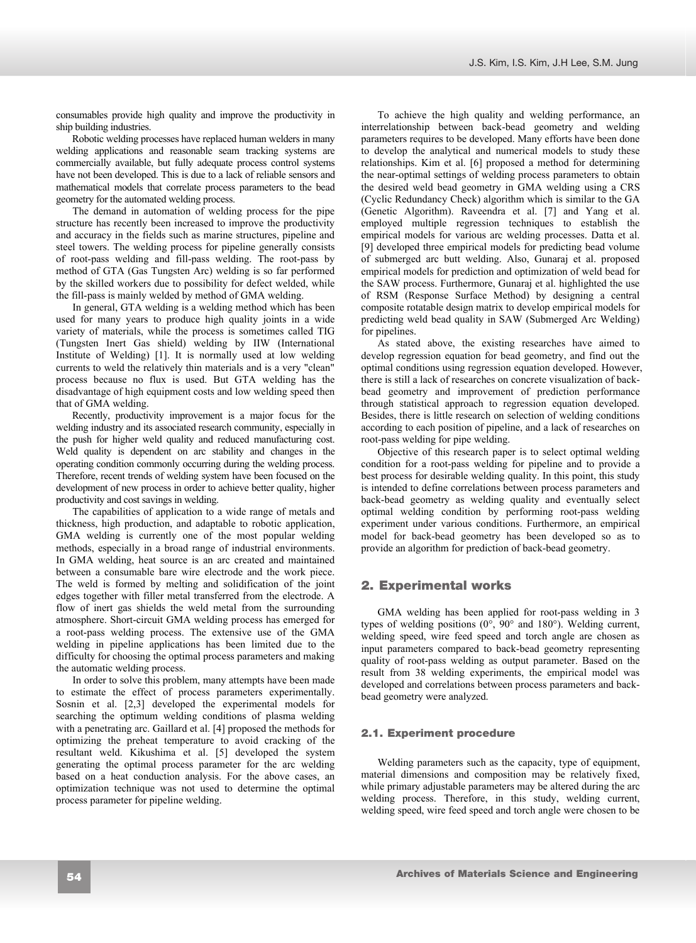consumables provide high quality and improve the productivity in ship building industries.

Robotic welding processes have replaced human welders in many welding applications and reasonable seam tracking systems are commercially available, but fully adequate process control systems have not been developed. This is due to a lack of reliable sensors and mathematical models that correlate process parameters to the bead geometry for the automated welding process.

The demand in automation of welding process for the pipe structure has recently been increased to improve the productivity and accuracy in the fields such as marine structures, pipeline and steel towers. The welding process for pipeline generally consists of root-pass welding and fill-pass welding. The root-pass by method of GTA (Gas Tungsten Arc) welding is so far performed by the skilled workers due to possibility for defect welded, while the fill-pass is mainly welded by method of GMA welding.

In general, GTA welding is a welding method which has been used for many years to produce high quality joints in a wide variety of materials, while the process is sometimes called TIG (Tungsten Inert Gas shield) welding by IIW (International Institute of Welding) [1]. It is normally used at low welding currents to weld the relatively thin materials and is a very "clean" process because no flux is used. But GTA welding has the disadvantage of high equipment costs and low welding speed then that of GMA welding.

Recently, productivity improvement is a major focus for the welding industry and its associated research community, especially in the push for higher weld quality and reduced manufacturing cost. Weld quality is dependent on arc stability and changes in the operating condition commonly occurring during the welding process. Therefore, recent trends of welding system have been focused on the development of new process in order to achieve better quality, higher productivity and cost savings in welding.

The capabilities of application to a wide range of metals and thickness, high production, and adaptable to robotic application, GMA welding is currently one of the most popular welding methods, especially in a broad range of industrial environments. In GMA welding, heat source is an arc created and maintained between a consumable bare wire electrode and the work piece. The weld is formed by melting and solidification of the joint edges together with filler metal transferred from the electrode. A flow of inert gas shields the weld metal from the surrounding atmosphere. Short-circuit GMA welding process has emerged for a root-pass welding process. The extensive use of the GMA welding in pipeline applications has been limited due to the difficulty for choosing the optimal process parameters and making the automatic welding process.

In order to solve this problem, many attempts have been made to estimate the effect of process parameters experimentally. Sosnin et al. [2,3] developed the experimental models for searching the optimum welding conditions of plasma welding with a penetrating arc. Gaillard et al. [4] proposed the methods for optimizing the preheat temperature to avoid cracking of the resultant weld. Kikushima et al. [5] developed the system generating the optimal process parameter for the arc welding based on a heat conduction analysis. For the above cases, an optimization technique was not used to determine the optimal process parameter for pipeline welding.

To achieve the high quality and welding performance, an interrelationship between back-bead geometry and welding parameters requires to be developed. Many efforts have been done to develop the analytical and numerical models to study these relationships. Kim et al. [6] proposed a method for determining the near-optimal settings of welding process parameters to obtain the desired weld bead geometry in GMA welding using a CRS (Cyclic Redundancy Check) algorithm which is similar to the GA (Genetic Algorithm). Raveendra et al. [7] and Yang et al. employed multiple regression techniques to establish the empirical models for various arc welding processes. Datta et al. [9] developed three empirical models for predicting bead volume of submerged arc butt welding. Also, Gunaraj et al. proposed empirical models for prediction and optimization of weld bead for the SAW process. Furthermore, Gunaraj et al. highlighted the use of RSM (Response Surface Method) by designing a central composite rotatable design matrix to develop empirical models for predicting weld bead quality in SAW (Submerged Arc Welding) for pipelines.

As stated above, the existing researches have aimed to develop regression equation for bead geometry, and find out the optimal conditions using regression equation developed. However, there is still a lack of researches on concrete visualization of backbead geometry and improvement of prediction performance through statistical approach to regression equation developed. Besides, there is little research on selection of welding conditions according to each position of pipeline, and a lack of researches on root-pass welding for pipe welding.

Objective of this research paper is to select optimal welding condition for a root-pass welding for pipeline and to provide a best process for desirable welding quality. In this point, this study is intended to define correlations between process parameters and back-bead geometry as welding quality and eventually select optimal welding condition by performing root-pass welding experiment under various conditions. Furthermore, an empirical model for back-bead geometry has been developed so as to provide an algorithm for prediction of back-bead geometry.

# **2. Experimental works.**  2. Experimental works

GMA welding has been applied for root-pass welding in 3 types of welding positions  $(0^{\circ}, 90^{\circ})$  and  $180^{\circ})$ . Welding current, welding speed, wire feed speed and torch angle are chosen as input parameters compared to back-bead geometry representing quality of root-pass welding as output parameter. Based on the result from 38 welding experiments, the empirical model was developed and correlations between process parameters and backbead geometry were analyzed.

### **2.1. Experiment procedure**  2.1. Experiment procedure

Welding parameters such as the capacity, type of equipment, material dimensions and composition may be relatively fixed, while primary adjustable parameters may be altered during the arc welding process. Therefore, in this study, welding current, welding speed, wire feed speed and torch angle were chosen to be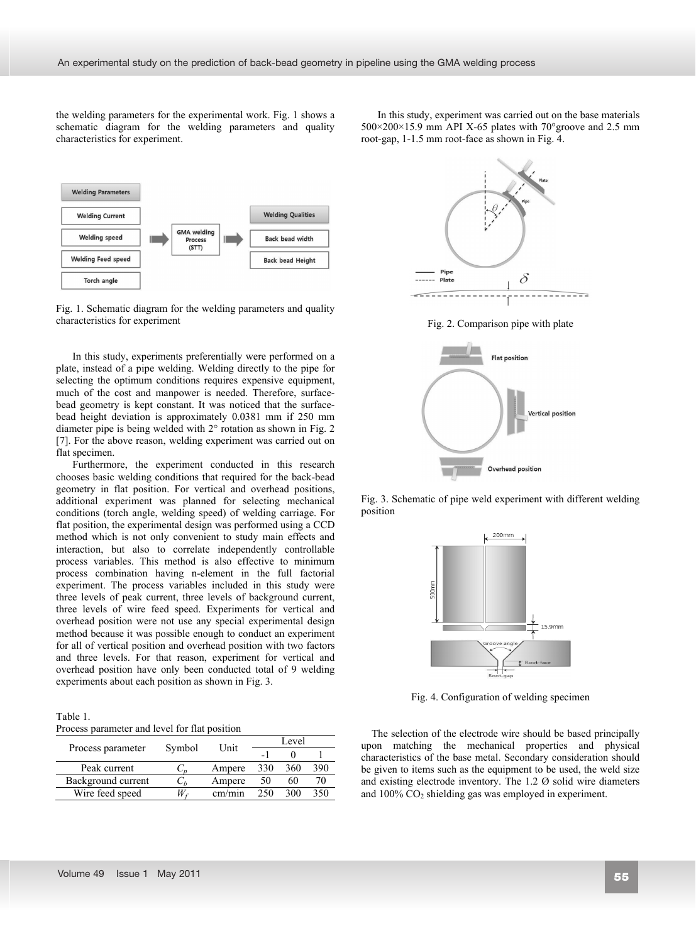the welding parameters for the experimental work. Fig. 1 shows a schematic diagram for the welding parameters and quality characteristics for experiment.

In this study, experiment was carried out on the base materials  $500\times200\times15.9$  mm API X-65 plates with 70° groove and 2.5 mm root-gap, 1-1.5 mm root-face as shown in Fig. 4.



Fig. 1. Schematic diagram for the welding parameters and quality characteristics for experiment

In this study, experiments preferentially were performed on a plate, instead of a pipe welding. Welding directly to the pipe for selecting the optimum conditions requires expensive equipment, much of the cost and manpower is needed. Therefore, surfacebead geometry is kept constant. It was noticed that the surfacebead height deviation is approximately 0.0381 mm if 250 mm diameter pipe is being welded with 2° rotation as shown in Fig. 2 [7]. For the above reason, welding experiment was carried out on flat specimen.

Furthermore, the experiment conducted in this research chooses basic welding conditions that required for the back-bead geometry in flat position. For vertical and overhead positions, additional experiment was planned for selecting mechanical conditions (torch angle, welding speed) of welding carriage. For flat position, the experimental design was performed using a CCD method which is not only convenient to study main effects and interaction, but also to correlate independently controllable process variables. This method is also effective to minimum process combination having n-element in the full factorial experiment. The process variables included in this study were three levels of peak current, three levels of background current, three levels of wire feed speed. Experiments for vertical and overhead position were not use any special experimental design method because it was possible enough to conduct an experiment for all of vertical position and overhead position with two factors and three levels. For that reason, experiment for vertical and overhead position have only been conducted total of 9 welding experiments about each position as shown in Fig. 3.

Table 1.

Process parameter and level for flat position

|                    |        | Level<br>Unit |     |     |     |
|--------------------|--------|---------------|-----|-----|-----|
| Process parameter  | Symbol |               |     |     |     |
| Peak current       |        | Ampere        | 330 | 360 | 390 |
| Background current | $-h$   | Ampere        | 50  | 60  |     |
| Wire feed speed    |        | cm/min        |     |     | 350 |



Fig. 2. Comparison pipe with plate



Fig. 3. Schematic of pipe weld experiment with different welding position



Fig. 4. Configuration of welding specimen

The selection of the electrode wire should be based principally upon matching the mechanical properties and physical characteristics of the base metal. Secondary consideration should be given to items such as the equipment to be used, the weld size and existing electrode inventory. The 1.2 Ø solid wire diameters and  $100\%$  CO<sub>2</sub> shielding gas was employed in experiment.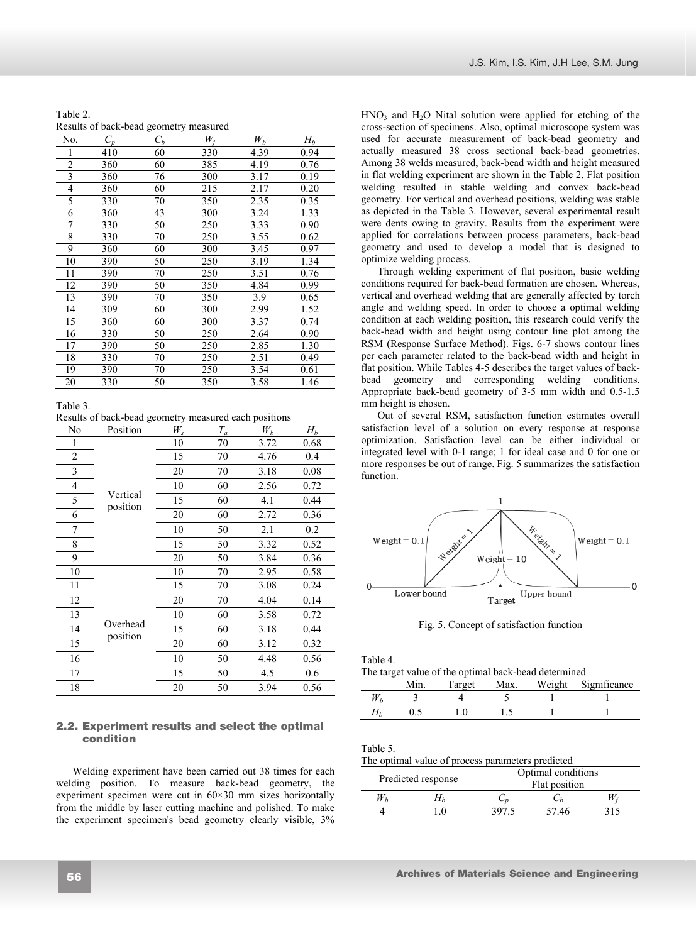| Table 2.                               |  |
|----------------------------------------|--|
| Results of back-bead geometry measured |  |

| No.                     | $C_p$ | $C_b$ | $W_f$ | $W_b$ | $H_b$ |
|-------------------------|-------|-------|-------|-------|-------|
| 1                       | 410   | 60    | 330   | 4.39  | 0.94  |
| $\overline{c}$          | 360   | 60    | 385   | 4.19  | 0.76  |
| $\overline{\mathbf{3}}$ | 360   | 76    | 300   | 3.17  | 0.19  |
| 4                       | 360   | 60    | 215   | 2.17  | 0.20  |
| 5                       | 330   | 70    | 350   | 2.35  | 0.35  |
| 6                       | 360   | 43    | 300   | 3.24  | 1.33  |
| 7                       | 330   | 50    | 250   | 3.33  | 0.90  |
| 8                       | 330   | 70    | 250   | 3.55  | 0.62  |
| 9                       | 360   | 60    | 300   | 3.45  | 0.97  |
| 10                      | 390   | 50    | 250   | 3.19  | 1.34  |
| 11                      | 390   | 70    | 250   | 3.51  | 0.76  |
| 12                      | 390   | 50    | 350   | 4.84  | 0.99  |
| 13                      | 390   | 70    | 350   | 3.9   | 0.65  |
| 14                      | 309   | 60    | 300   | 2.99  | 1.52  |
| 15                      | 360   | 60    | 300   | 3.37  | 0.74  |
| 16                      | 330   | 50    | 250   | 2.64  | 0.90  |
| 17                      | 390   | 50    | 250   | 2.85  | 1.30  |
| 18                      | 330   | 70    | 250   | 2.51  | 0.49  |
| 19                      | 390   | 70    | 250   | 3.54  | 0.61  |
| 20                      | 330   | 50    | 350   | 3.58  | 1.46  |

Table 3.

Results of back-bead geometry measured each positions

| No             | Position             | $W_s$ | $T_a$ | $W_b$ | $H_b$ |
|----------------|----------------------|-------|-------|-------|-------|
|                |                      | 10    | 70    | 3.72  | 0.68  |
| $\overline{2}$ |                      | 15    | 70    | 4.76  | 0.4   |
| 3              |                      | 20    | 70    | 3.18  | 0.08  |
| 4              |                      | 10    | 60    | 2.56  | 0.72  |
| 5              | Vertical<br>position | 15    | 60    | 4.1   | 0.44  |
| 6              |                      | 20    | 60    | 2.72  | 0.36  |
| 7              |                      | 10    | 50    | 2.1   | 0.2   |
| 8              |                      | 15    | 50    | 3.32  | 0.52  |
| 9              |                      | 20    | 50    | 3.84  | 0.36  |
| 10             |                      | 10    | 70    | 2.95  | 0.58  |
| 11             |                      | 15    | 70    | 3.08  | 0.24  |
| 12             |                      | 20    | 70    | 4.04  | 0.14  |
| 13             |                      | 10    | 60    | 3.58  | 0.72  |
| 14             | Overhead<br>position | 15    | 60    | 3.18  | 0.44  |
| 15             |                      | 20    | 60    | 3.12  | 0.32  |
| 16             |                      | 10    | 50    | 4.48  | 0.56  |
| 17             |                      | 15    | 50    | 4.5   | 0.6   |
| 18             |                      | 20    | 50    | 3.94  | 0.56  |

## **2.1. Experiment results and select the optimal**  2.2. Experiment results and select the optimal **condition**  condition

Welding experiment have been carried out 38 times for each welding position. To measure back-bead geometry, the experiment specimen were cut in 60×30 mm sizes horizontally from the middle by laser cutting machine and polished. To make the experiment specimen's bead geometry clearly visible, 3%

 $HNO<sub>3</sub>$  and  $H<sub>2</sub>O$  Nital solution were applied for etching of the cross-section of specimens. Also, optimal microscope system was used for accurate measurement of back-bead geometry and actually measured 38 cross sectional back-bead geometries. Among 38 welds measured, back-bead width and height measured in flat welding experiment are shown in the Table 2. Flat position welding resulted in stable welding and convex back-bead geometry. For vertical and overhead positions, welding was stable as depicted in the Table 3. However, several experimental result were dents owing to gravity. Results from the experiment were applied for correlations between process parameters, back-bead geometry and used to develop a model that is designed to optimize welding process.

Through welding experiment of flat position, basic welding conditions required for back-bead formation are chosen. Whereas, vertical and overhead welding that are generally affected by torch angle and welding speed. In order to choose a optimal welding condition at each welding position, this research could verify the back-bead width and height using contour line plot among the RSM (Response Surface Method). Figs. 6-7 shows contour lines per each parameter related to the back-bead width and height in flat position. While Tables 4-5 describes the target values of backbead geometry and corresponding welding conditions. Appropriate back-bead geometry of 3-5 mm width and 0.5-1.5 mm height is chosen.

Out of several RSM, satisfaction function estimates overall satisfaction level of a solution on every response at response optimization. Satisfaction level can be either individual or integrated level with 0-1 range; 1 for ideal case and 0 for one or more responses be out of range. Fig. 5 summarizes the satisfaction function.



Fig. 5. Concept of satisfaction function

Table 4.

| The target value of the optimal back-bead determined |  |  |  |  |                                   |
|------------------------------------------------------|--|--|--|--|-----------------------------------|
|                                                      |  |  |  |  | Min Target May Weight Significanc |

|  | Target | Max. | Weight | Significance |
|--|--------|------|--------|--------------|
|  |        |      |        |              |
|  |        |      |        |              |

Table 5.

The optimal value of process parameters predicted

| Predicted response |          | Optimal conditions<br>Flat position |       |     |
|--------------------|----------|-------------------------------------|-------|-----|
|                    |          |                                     |       |     |
|                    | $\theta$ | 397.5                               | 57.46 | 315 |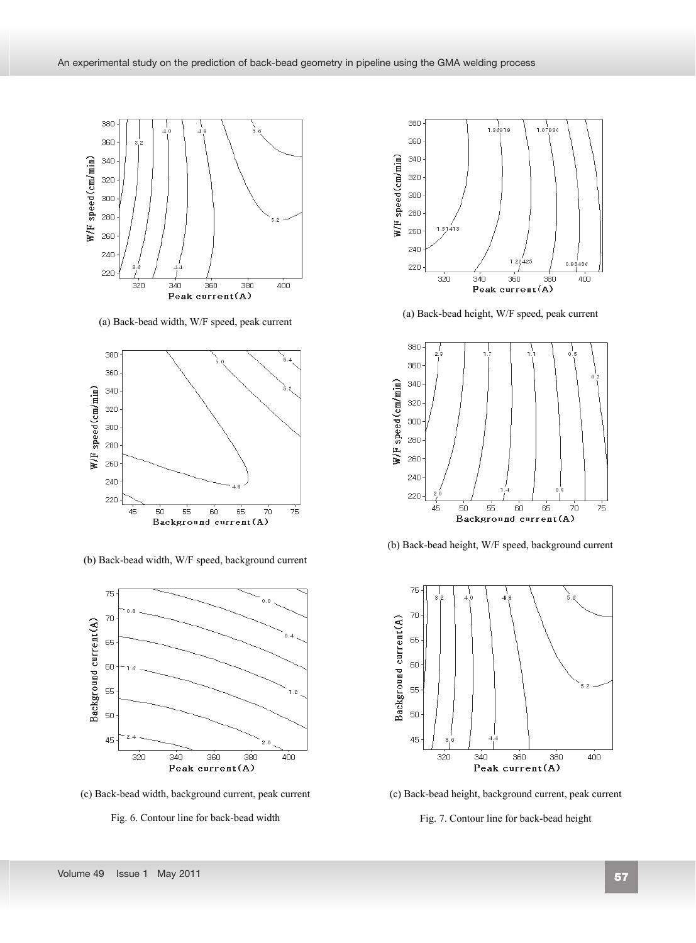

(a) Back-bead width, W/F speed, peak current



(b) Back-bead width, W/F speed, background current



(c) Back-bead width, background current, peak current





(a) Back-bead height, W/F speed, peak current



(b) Back-bead height, W/F speed, background current



(c) Back-bead height, background current, peak current

Fig. 7. Contour line for back-bead height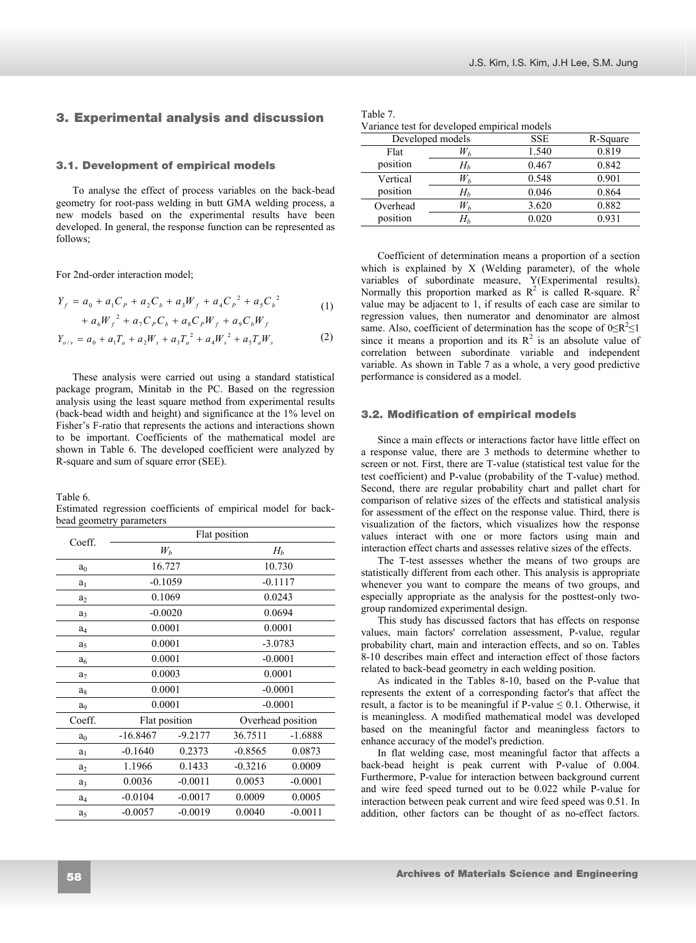# **2. Experimental analysis and discussion**  3. Experimental analysis and discussion

### **2.1. Development of empirical models**  3.1. Development of empirical models

To analyse the effect of process variables on the back-bead geometry for root-pass welding in butt GMA welding process, a new models based on the experimental results have been developed. In general, the response function can be represented as follows;

For 2nd-order interaction model;

$$
Y_f = a_0 + a_1 C_p + a_2 C_b + a_3 W_f + a_4 C_p^2 + a_5 C_b^2
$$
  
+  $a_6 W_f^2 + a_7 C_p C_b + a_8 C_p W_f + a_9 C_b W_f$  (1)

$$
Y_{o/v} = a_0 + a_1 T_a + a_2 W_s + a_3 T_a^2 + a_4 W_s^2 + a_5 T_a W_s
$$
 (2)

These analysis were carried out using a standard statistical package program, Minitab in the PC. Based on the regression analysis using the least square method from experimental results (back-bead width and height) and significance at the 1% level on Fisher's F-ratio that represents the actions and interactions shown to be important. Coefficients of the mathematical model are shown in Table 6. The developed coefficient were analyzed by R-square and sum of square error (SEE).

Table 6.

Estimated regression coefficients of empirical model for backbead geometry parameters

| Coeff.         | Flat position |           |                   |           |  |
|----------------|---------------|-----------|-------------------|-----------|--|
|                | $W_b$         |           | $H_b$             |           |  |
| a <sub>0</sub> | 16.727        |           | 10.730            |           |  |
| $a_1$          | $-0.1059$     |           | $-0.1117$         |           |  |
| a <sub>2</sub> | 0.1069        |           | 0.0243            |           |  |
| a <sub>3</sub> | $-0.0020$     |           | 0.0694            |           |  |
| $a_4$          | 0.0001        |           | 0.0001            |           |  |
| a <sub>5</sub> | 0.0001        |           | $-3.0783$         |           |  |
| a <sub>6</sub> | 0.0001        |           | $-0.0001$         |           |  |
| a <sub>7</sub> | 0.0003        |           | 0.0001            |           |  |
| ag             | 0.0001        |           | $-0.0001$         |           |  |
| aq             |               | 0.0001    |                   | $-0.0001$ |  |
| Coeff.         | Flat position |           | Overhead position |           |  |
| a <sub>0</sub> | $-16.8467$    | $-9.2177$ | 36.7511           | $-1.6888$ |  |
| a <sub>1</sub> | $-0.1640$     | 0.2373    | $-0.8565$         | 0.0873    |  |
| a <sub>2</sub> | 1.1966        | 0.1433    | $-0.3216$         | 0.0009    |  |
| a <sub>3</sub> | 0.0036        | $-0.0011$ | 0.0053            | $-0.0001$ |  |
| $a_4$          | $-0.0104$     | $-0.0017$ | 0.0009            | 0.0005    |  |
| a <sub>5</sub> | $-0.0057$     | $-0.0019$ | 0.0040            | $-0.0011$ |  |

| Table 7.                                     |  |  |
|----------------------------------------------|--|--|
| Variance test for developed empirical models |  |  |

|          | Developed models | <b>SSE</b> | R-Square |
|----------|------------------|------------|----------|
| Flat     | $W_h$            | 1.540      | 0.819    |
| position | $H_h$            | 0.467      | 0.842    |
| Vertical | $W_h$            | 0.548      | 0.901    |
| position | $H_h$            | 0.046      | 0.864    |
| Overhead | $W_b$            | 3.620      | 0.882    |
| position | $H_h$            | 0.020      | 0.931    |
|          |                  |            |          |

Coefficient of determination means a proportion of a section which is explained by X (Welding parameter), of the whole variables of subordinate measure, Y(Experimental results). Normally this proportion marked as  $R^2$  is called R-square.  $R^2$ value may be adjacent to 1, if results of each case are similar to regression values, then numerator and denominator are almost same. Also, coefficient of determination has the scope of  $0 \le R^2 \le 1$ since it means a proportion and its  $R^2$  is an absolute value of correlation between subordinate variable and independent variable. As shown in Table 7 as a whole, a very good predictive performance is considered as a model.

### **2.1. Modification of empirical models**  3.2. Modification of empirical models

Since a main effects or interactions factor have little effect on a response value, there are 3 methods to determine whether to screen or not. First, there are T-value (statistical test value for the test coefficient) and P-value (probability of the T-value) method. Second, there are regular probability chart and pallet chart for comparison of relative sizes of the effects and statistical analysis for assessment of the effect on the response value. Third, there is visualization of the factors, which visualizes how the response values interact with one or more factors using main and interaction effect charts and assesses relative sizes of the effects.

The T-test assesses whether the means of two groups are statistically different from each other. This analysis is appropriate whenever you want to compare the means of two groups, and especially appropriate as the analysis for the posttest-only twogroup randomized experimental design.

This study has discussed factors that has effects on response values, main factors' correlation assessment, P-value, regular probability chart, main and interaction effects, and so on. Tables 8-10 describes main effect and interaction effect of those factors related to back-bead geometry in each welding position.

As indicated in the Tables 8-10, based on the P-value that represents the extent of a corresponding factor's that affect the result, a factor is to be meaningful if P-value  $\leq 0.1$ . Otherwise, it is meaningless. A modified mathematical model was developed based on the meaningful factor and meaningless factors to enhance accuracy of the model's prediction.

In flat welding case, most meaningful factor that affects a back-bead height is peak current with P-value of 0.004. Furthermore, P-value for interaction between background current and wire feed speed turned out to be 0.022 while P-value for interaction between peak current and wire feed speed was 0.51. In addition, other factors can be thought of as no-effect factors.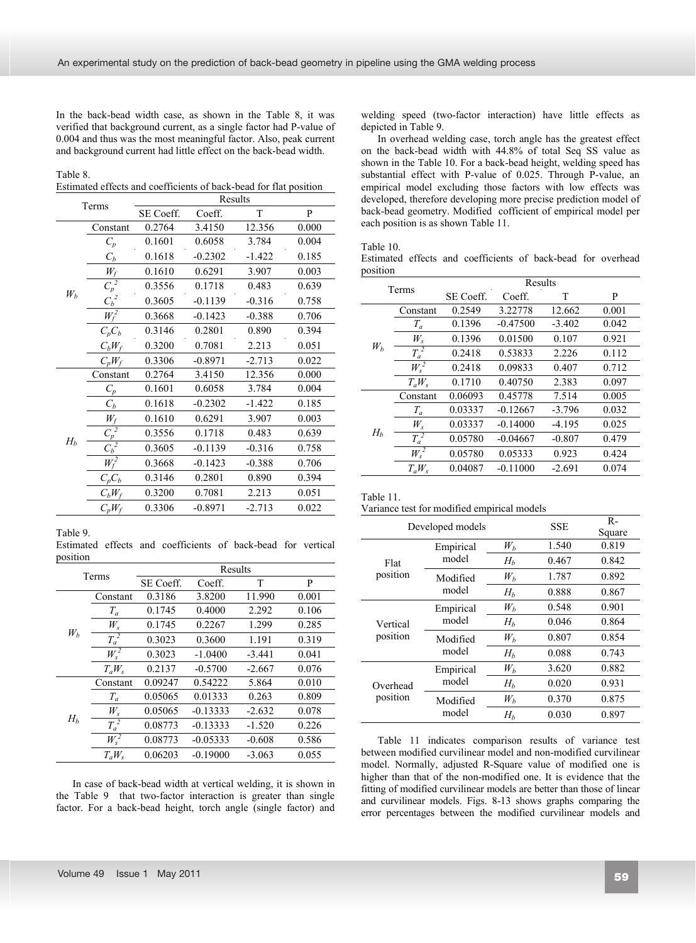In the back-bead width case, as shown in the Table 8, it was verified that background current, as a single factor had P-value of 0.004 and thus was the most meaningful factor. Also, peak current and background current had little effect on the back-bead width.

Table 8. Estimated effects and coefficients of back-bead for flat position

| Terms |                                   | Results   |           |          |       |  |
|-------|-----------------------------------|-----------|-----------|----------|-------|--|
|       |                                   | SE Coeff. | Coeff.    | T        | P     |  |
|       | Constant                          | 0.2764    | 3.4150    | 12.356   | 0.000 |  |
|       | $C_p$                             | 0.1601    | 0.6058    | 3.784    | 0.004 |  |
|       | $C_b$                             | 0.1618    | $-0.2302$ | $-1.422$ | 0.185 |  |
|       | $W_f$                             | 0.1610    | 0.6291    | 3.907    | 0.003 |  |
|       | $\overline{C_p^2}$                | 0.3556    | 0.1718    | 0.483    | 0.639 |  |
| $W_b$ | $C_{\underline{b}}^{\frac{2}{2}}$ | 0.3605    | $-0.1139$ | $-0.316$ | 0.758 |  |
|       | $W_f^2$                           | 0.3668    | $-0.1423$ | $-0.388$ | 0.706 |  |
|       | $C_pC_b$                          | 0.3146    | 0.2801    | 0.890    | 0.394 |  |
|       | $C_bW_f$                          | 0.3200    | 0.7081    | 2.213    | 0.051 |  |
|       | $C_pW_f$                          | 0.3306    | $-0.8971$ | $-2.713$ | 0.022 |  |
|       | Constant                          | 0.2764    | 3.4150    | 12.356   | 0.000 |  |
|       | $C_p$                             | 0.1601    | 0.6058    | 3.784    | 0.004 |  |
|       | $C_b$                             | 0.1618    | $-0.2302$ | $-1.422$ | 0.185 |  |
|       | $W_f$                             | 0.1610    | 0.6291    | 3.907    | 0.003 |  |
|       | $\frac{1}{\sqrt{p}}$              | 0.3556    | 0.1718    | 0.483    | 0.639 |  |
| $H_b$ | $\frac{2}{C_b^2}$                 | 0.3605    | $-0.1139$ | $-0.316$ | 0.758 |  |
|       | $W_{\epsilon}^2$                  | 0.3668    | $-0.1423$ | $-0.388$ | 0.706 |  |
|       | $C_p C_b$                         | 0.3146    | 0.2801    | 0.890    | 0.394 |  |
|       | $C_bW_f$                          | 0.3200    | 0.7081    | 2.213    | 0.051 |  |
|       | $C_pW_f$                          | 0.3306    | $-0.8971$ | $-2.713$ | 0.022 |  |

Table 9.

Estimated effects and coefficients of back-bead for vertical position

| Terms |          |           | Results    |          |       |
|-------|----------|-----------|------------|----------|-------|
|       |          | SE Coeff. | Coeff.     | T        | P     |
|       | Constant | 0.3186    | 3.8200     | 11.990   | 0.001 |
|       | $T_a$    | 0.1745    | 0.4000     | 2.292    | 0.106 |
|       | $W_{s}$  | 0.1745    | 0.2267     | 1.299    | 0.285 |
| $W_b$ | $T_a^2$  | 0.3023    | 0.3600     | 1.191    | 0.319 |
|       | $W_s^2$  | 0.3023    | $-1.0400$  | $-3.441$ | 0.041 |
|       | $T_aW_s$ | 0.2137    | $-0.5700$  | $-2.667$ | 0.076 |
|       | Constant | 0.09247   | 0.54222    | 5.864    | 0.010 |
|       | $T_a$    | 0.05065   | 0.01333    | 0.263    | 0.809 |
|       | $W_{s}$  | 0.05065   | $-0.13333$ | $-2.632$ | 0.078 |
| $H_b$ | $T_a^2$  | 0.08773   | $-0.13333$ | $-1.520$ | 0.226 |
|       | $W_s^2$  | 0.08773   | $-0.05333$ | $-0.608$ | 0.586 |
|       | $T_aW_s$ | 0.06203   | $-0.19000$ | $-3.063$ | 0.055 |

In case of back-bead width at vertical welding, it is shown in the Table 9 that two-factor interaction is greater than single factor. For a back-bead height, torch angle (single factor) and

welding speed (two-factor interaction) have little effects as depicted in Table 9.

In overhead welding case, torch angle has the greatest effect on the back-bead width with 44.8% of total Seq SS value as shown in the Table 10. For a back-bead height, welding speed has substantial effect with P-value of 0.025. Through P-value, an empirical model excluding those factors with low effects was developed, therefore developing more precise prediction model of back-bead geometry. Modified cofficient of empirical model per each position is as shown Table 11.

Table 10.

Estimated effects and coefficients of back-bead for overhead position

| Terms |          | Results   |            |          |       |  |
|-------|----------|-----------|------------|----------|-------|--|
|       |          | SE Coeff. | Coeff.     | T        | P     |  |
| $W_b$ | Constant | 0.2549    | 3.22778    | 12.662   | 0.001 |  |
|       | $T_a$    | 0.1396    | $-0.47500$ | $-3.402$ | 0.042 |  |
|       | $W_s$    | 0.1396    | 0.01500    | 0.107    | 0.921 |  |
|       | $T_a^2$  | 0.2418    | 0.53833    | 2.226    | 0.112 |  |
|       | $W_s^2$  | 0.2418    | 0.09833    | 0.407    | 0.712 |  |
|       | $T_aW_s$ | 0.1710    | 0.40750    | 2.383    | 0.097 |  |
| $H_h$ | Constant | 0.06093   | 0.45778    | 7.514    | 0.005 |  |
|       | $T_a$    | 0.03337   | $-0.12667$ | $-3.796$ | 0.032 |  |
|       | $W_s$    | 0.03337   | $-0.14000$ | $-4.195$ | 0.025 |  |
|       | $T_a^2$  | 0.05780   | $-0.04667$ | $-0.807$ | 0.479 |  |
|       | $W_s^2$  | 0.05780   | 0.05333    | 0.923    | 0.424 |  |
|       | $T_aW_s$ | 0.04087   | $-0.11000$ | $-2.691$ | 0.074 |  |

Table 11.

Variance test for modified empirical models

|          | Developed models   | SSE   | $R -$<br>Square |       |
|----------|--------------------|-------|-----------------|-------|
|          | Empirical<br>model | $W_h$ | 1.540           | 0.819 |
| Flat     |                    | $H_h$ | 0.467           | 0.842 |
| position | Modified<br>model  | $W_h$ | 1.787           | 0.892 |
|          |                    | $H_h$ | 0.888           | 0.867 |
|          | Empirical<br>model | $W_h$ | 0.548           | 0.901 |
| Vertical |                    | $H_h$ | 0.046           | 0.864 |
| position | Modified<br>model  | $W_h$ | 0.807           | 0.854 |
|          |                    | $H_h$ | 0.088           | 0.743 |
|          | Empirical          | $W_h$ | 3.620           | 0.882 |
| Overhead | model              | $H_h$ | 0.020           | 0.931 |
| position | Modified<br>model  | $W_h$ | 0.370           | 0.875 |
|          |                    | $H_h$ | 0.030           | 0.897 |

Table 11 indicates comparison results of variance test between modified curvilinear model and non-modified curvilinear model. Normally, adjusted R-Square value of modified one is higher than that of the non-modified one. It is evidence that the fitting of modified curvilinear models are better than those of linear and curvilinear models. Figs. 8-13 shows graphs comparing the error percentages between the modified curvilinear models and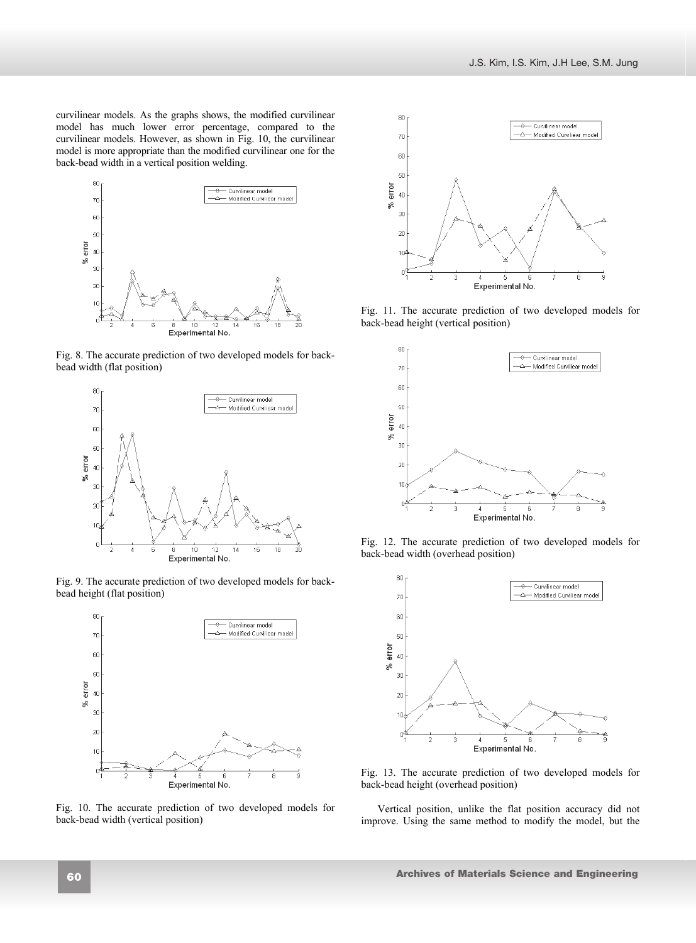curvilinear models. As the graphs shows, the modified curvilinear model has much lower error percentage, compared to the curvilinear models. However, as shown in Fig. 10, the curvilinear model is more appropriate than the modified curvilinear one for the back-bead width in a vertical position welding.



Fig. 8. The accurate prediction of two developed models for backbead width (flat position)



Fig. 9. The accurate prediction of two developed models for backbead height (flat position)



Fig. 10. The accurate prediction of two developed models for back-bead width (vertical position)



Fig. 11. The accurate prediction of two developed models for back-bead height (vertical position)



Fig. 12. The accurate prediction of two developed models for back-bead width (overhead position)



Fig. 13. The accurate prediction of two developed models for back-bead height (overhead position)

Vertical position, unlike the flat position accuracy did not improve. Using the same method to modify the model, but the